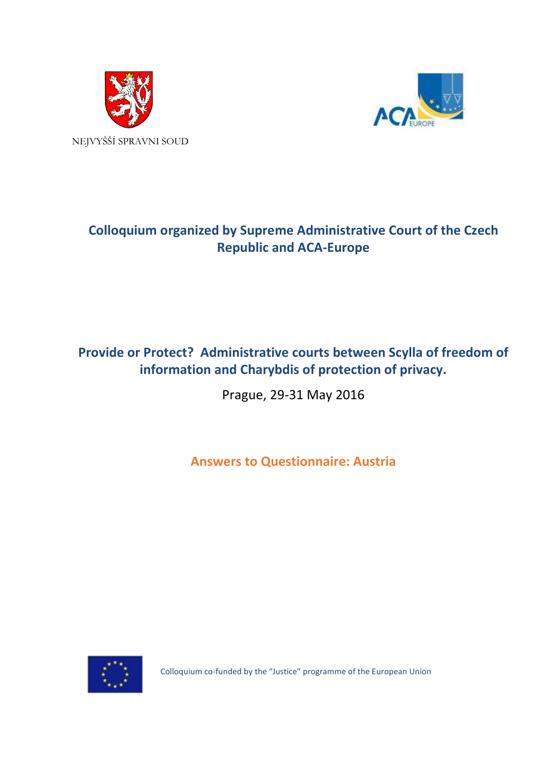



# **Colloquium organized by Supreme Administrative Court of the Czech Republic and ACA-Europe**

## **Provide or Protect? Administrative courts between Scylla of freedom of information and Charybdis of protection of privacy.**

Prague, 29-31 May 2016

**Answers to Questionnaire: Austria**



Colloquium co-funded by the "Justice" programme of the European Union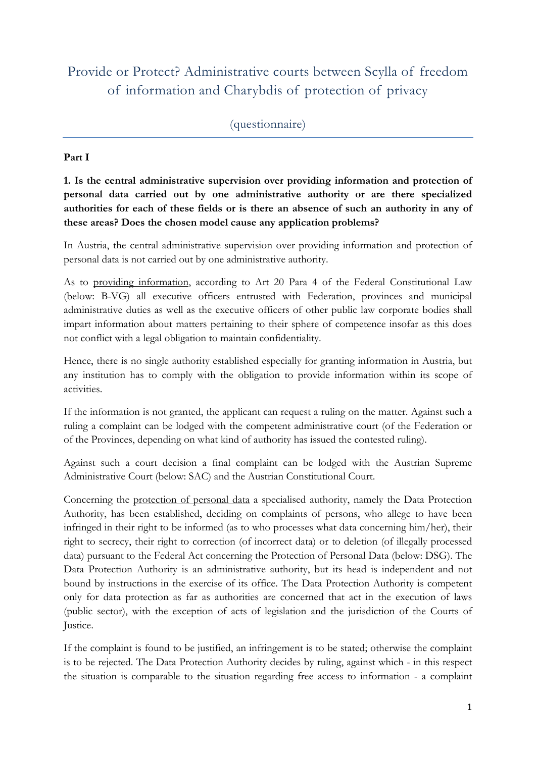## Provide or Protect? Administrative courts between Scylla of freedom of information and Charybdis of protection of privacy

(questionnaire)

#### **Part I**

**1. Is the central administrative supervision over providing information and protection of personal data carried out by one administrative authority or are there specialized authorities for each of these fields or is there an absence of such an authority in any of these areas? Does the chosen model cause any application problems?**

In Austria, the central administrative supervision over providing information and protection of personal data is not carried out by one administrative authority.

As to providing information, according to Art 20 Para 4 of the Federal Constitutional Law (below: B-VG) all executive officers entrusted with Federation, provinces and municipal administrative duties as well as the executive officers of other public law corporate bodies shall impart information about matters pertaining to their sphere of competence insofar as this does not conflict with a legal obligation to maintain confidentiality.

Hence, there is no single authority established especially for granting information in Austria, but any institution has to comply with the obligation to provide information within its scope of activities.

If the information is not granted, the applicant can request a ruling on the matter. Against such a ruling a complaint can be lodged with the competent administrative court (of the Federation or of the Provinces, depending on what kind of authority has issued the contested ruling).

Against such a court decision a final complaint can be lodged with the Austrian Supreme Administrative Court (below: SAC) and the Austrian Constitutional Court.

Concerning the protection of personal data a specialised authority, namely the Data Protection Authority, has been established, deciding on complaints of persons, who allege to have been infringed in their right to be informed (as to who processes what data concerning him/her), their right to secrecy, their right to correction (of incorrect data) or to deletion (of illegally processed data) pursuant to the Federal Act concerning the Protection of Personal Data (below: DSG). The Data Protection Authority is an administrative authority, but its head is independent and not bound by instructions in the exercise of its office. The Data Protection Authority is competent only for data protection as far as authorities are concerned that act in the execution of laws (public sector), with the exception of acts of legislation and the jurisdiction of the Courts of Justice.

If the complaint is found to be justified, an infringement is to be stated; otherwise the complaint is to be rejected. The Data Protection Authority decides by ruling, against which - in this respect the situation is comparable to the situation regarding free access to information - a complaint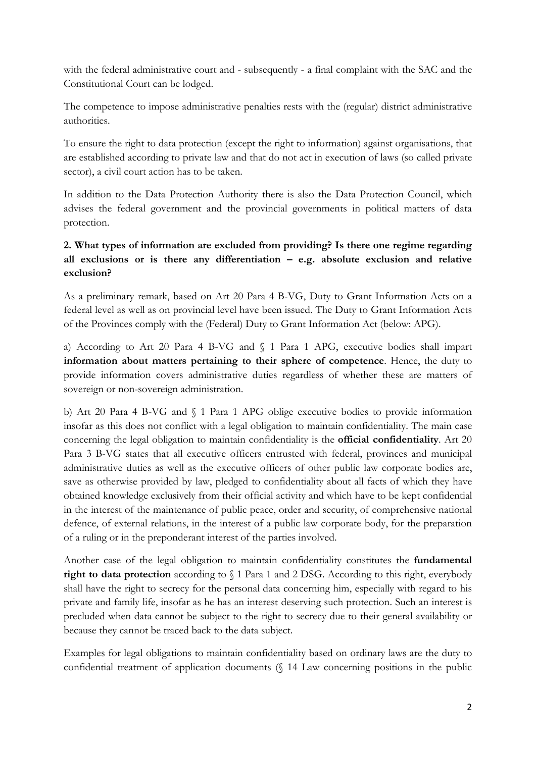with the federal administrative court and - subsequently - a final complaint with the SAC and the Constitutional Court can be lodged.

The competence to impose administrative penalties rests with the (regular) district administrative authorities.

To ensure the right to data protection (except the right to information) against organisations, that are established according to private law and that do not act in execution of laws (so called private sector), a civil court action has to be taken.

In addition to the Data Protection Authority there is also the Data Protection Council, which advises the federal government and the provincial governments in political matters of data protection.

## **2. What types of information are excluded from providing? Is there one regime regarding all exclusions or is there any differentiation – e.g. absolute exclusion and relative exclusion?**

As a preliminary remark, based on Art 20 Para 4 B-VG, Duty to Grant Information Acts on a federal level as well as on provincial level have been issued. The Duty to Grant Information Acts of the Provinces comply with the (Federal) Duty to Grant Information Act (below: APG).

a) According to Art 20 Para 4 B-VG and § 1 Para 1 APG, executive bodies shall impart **information about matters pertaining to their sphere of competence**. Hence, the duty to provide information covers administrative duties regardless of whether these are matters of sovereign or non-sovereign administration.

b) Art 20 Para 4 B-VG and § 1 Para 1 APG oblige executive bodies to provide information insofar as this does not conflict with a legal obligation to maintain confidentiality. The main case concerning the legal obligation to maintain confidentiality is the **official confidentiality**. Art 20 Para 3 B-VG states that all executive officers entrusted with federal, provinces and municipal administrative duties as well as the executive officers of other public law corporate bodies are, save as otherwise provided by law, pledged to confidentiality about all facts of which they have obtained knowledge exclusively from their official activity and which have to be kept confidential in the interest of the maintenance of public peace, order and security, of comprehensive national defence, of external relations, in the interest of a public law corporate body, for the preparation of a ruling or in the preponderant interest of the parties involved.

Another case of the legal obligation to maintain confidentiality constitutes the **fundamental right to data protection** according to § 1 Para 1 and 2 DSG. According to this right, everybody shall have the right to secrecy for the personal data concerning him, especially with regard to his private and family life, insofar as he has an interest deserving such protection. Such an interest is precluded when data cannot be subject to the right to secrecy due to their general availability or because they cannot be traced back to the data subject.

Examples for legal obligations to maintain confidentiality based on ordinary laws are the duty to confidential treatment of application documents (§ 14 Law concerning positions in the public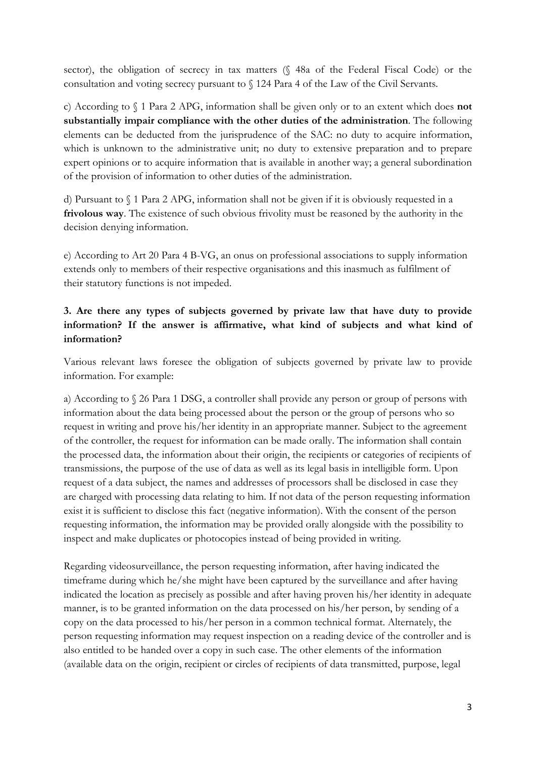sector), the obligation of secrecy in tax matters (§ 48a of the Federal Fiscal Code) or the consultation and voting secrecy pursuant to § 124 Para 4 of the Law of the Civil Servants.

c) According to § 1 Para 2 APG, information shall be given only or to an extent which does **not substantially impair compliance with the other duties of the administration**. The following elements can be deducted from the jurisprudence of the SAC: no duty to acquire information, which is unknown to the administrative unit; no duty to extensive preparation and to prepare expert opinions or to acquire information that is available in another way; a general subordination of the provision of information to other duties of the administration.

d) Pursuant to § 1 Para 2 APG, information shall not be given if it is obviously requested in a **frivolous way**. The existence of such obvious frivolity must be reasoned by the authority in the decision denying information.

e) According to Art 20 Para 4 B-VG, an onus on professional associations to supply information extends only to members of their respective organisations and this inasmuch as fulfilment of their statutory functions is not impeded.

## **3. Are there any types of subjects governed by private law that have duty to provide information? If the answer is affirmative, what kind of subjects and what kind of information?**

Various relevant laws foresee the obligation of subjects governed by private law to provide information. For example:

a) According to § 26 Para 1 DSG, a controller shall provide any person or group of persons with information about the data being processed about the person or the group of persons who so request in writing and prove his/her identity in an appropriate manner. Subject to the agreement of the controller, the request for information can be made orally. The information shall contain the processed data, the information about their origin, the recipients or categories of recipients of transmissions, the purpose of the use of data as well as its legal basis in intelligible form. Upon request of a data subject, the names and addresses of processors shall be disclosed in case they are charged with processing data relating to him. If not data of the person requesting information exist it is sufficient to disclose this fact (negative information). With the consent of the person requesting information, the information may be provided orally alongside with the possibility to inspect and make duplicates or photocopies instead of being provided in writing.

Regarding videosurveillance, the person requesting information, after having indicated the timeframe during which he/she might have been captured by the surveillance and after having indicated the location as precisely as possible and after having proven his/her identity in adequate manner, is to be granted information on the data processed on his/her person, by sending of a copy on the data processed to his/her person in a common technical format. Alternately, the person requesting information may request inspection on a reading device of the controller and is also entitled to be handed over a copy in such case. The other elements of the information (available data on the origin, recipient or circles of recipients of data transmitted, purpose, legal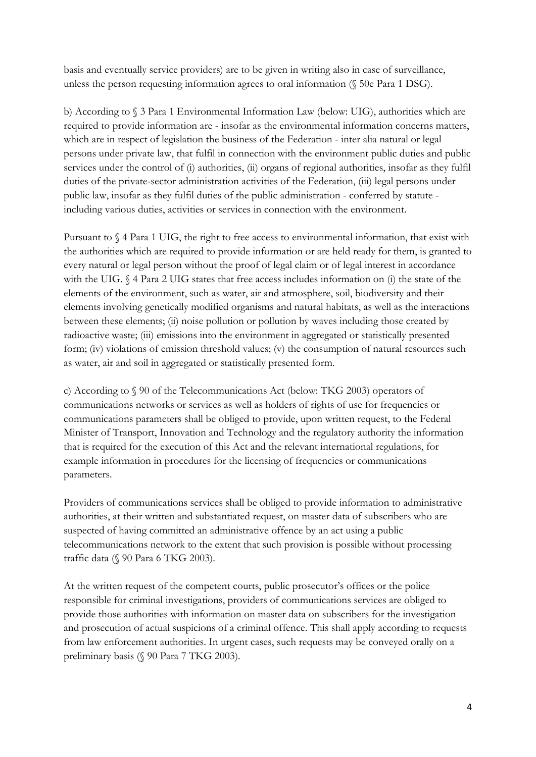basis and eventually service providers) are to be given in writing also in case of surveillance, unless the person requesting information agrees to oral information (§ 50e Para 1 DSG).

b) According to § 3 Para 1 Environmental Information Law (below: UIG), authorities which are required to provide information are - insofar as the environmental information concerns matters, which are in respect of legislation the business of the Federation - inter alia natural or legal persons under private law, that fulfil in connection with the environment public duties and public services under the control of (i) authorities, (ii) organs of regional authorities, insofar as they fulfil duties of the private-sector administration activities of the Federation, (iii) legal persons under public law, insofar as they fulfil duties of the public administration - conferred by statute including various duties, activities or services in connection with the environment.

Pursuant to § 4 Para 1 UIG, the right to free access to environmental information, that exist with the authorities which are required to provide information or are held ready for them, is granted to every natural or legal person without the proof of legal claim or of legal interest in accordance with the UIG.  $\oint$  4 Para 2 UIG states that free access includes information on (i) the state of the elements of the environment, such as water, air and atmosphere, soil, biodiversity and their elements involving genetically modified organisms and natural habitats, as well as the interactions between these elements; (ii) noise pollution or pollution by waves including those created by radioactive waste; (iii) emissions into the environment in aggregated or statistically presented form; (iv) violations of emission threshold values; (v) the consumption of natural resources such as water, air and soil in aggregated or statistically presented form.

c) According to § 90 of the Telecommunications Act (below: TKG 2003) operators of communications networks or services as well as holders of rights of use for frequencies or communications parameters shall be obliged to provide, upon written request, to the Federal Minister of Transport, Innovation and Technology and the regulatory authority the information that is required for the execution of this Act and the relevant international regulations, for example information in procedures for the licensing of frequencies or communications parameters.

Providers of communications services shall be obliged to provide information to administrative authorities, at their written and substantiated request, on master data of subscribers who are suspected of having committed an administrative offence by an act using a public telecommunications network to the extent that such provision is possible without processing traffic data (§ 90 Para 6 TKG 2003).

At the written request of the competent courts, public prosecutor's offices or the police responsible for criminal investigations, providers of communications services are obliged to provide those authorities with information on master data on subscribers for the investigation and prosecution of actual suspicions of a criminal offence. This shall apply according to requests from law enforcement authorities. In urgent cases, such requests may be conveyed orally on a preliminary basis (§ 90 Para 7 TKG 2003).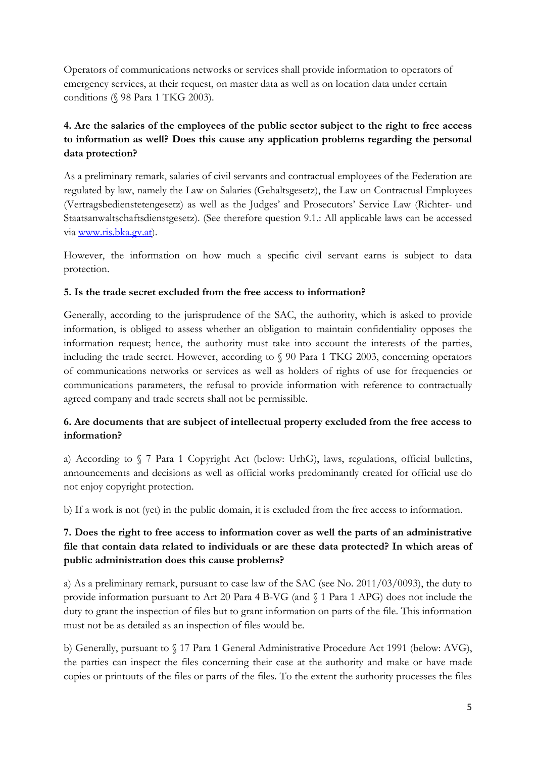Operators of communications networks or services shall provide information to operators of emergency services, at their request, on master data as well as on location data under certain conditions (§ 98 Para 1 TKG 2003).

## **4. Are the salaries of the employees of the public sector subject to the right to free access to information as well? Does this cause any application problems regarding the personal data protection?**

As a preliminary remark, salaries of civil servants and contractual employees of the Federation are regulated by law, namely the Law on Salaries (Gehaltsgesetz), the Law on Contractual Employees (Vertragsbedienstetengesetz) as well as the Judges' and Prosecutors' Service Law (Richter- und Staatsanwaltschaftsdienstgesetz). (See therefore question 9.1.: All applicable laws can be accessed via [www.ris.bka.gv.at\)](http://www.ris.bka.gv.at/).

However, the information on how much a specific civil servant earns is subject to data protection.

#### **5. Is the trade secret excluded from the free access to information?**

Generally, according to the jurisprudence of the SAC, the authority, which is asked to provide information, is obliged to assess whether an obligation to maintain confidentiality opposes the information request; hence, the authority must take into account the interests of the parties, including the trade secret. However, according to § 90 Para 1 TKG 2003, concerning operators of communications networks or services as well as holders of rights of use for frequencies or communications parameters, the refusal to provide information with reference to contractually agreed company and trade secrets shall not be permissible.

### **6. Are documents that are subject of intellectual property excluded from the free access to information?**

a) According to § 7 Para 1 Copyright Act (below: UrhG), laws, regulations, official bulletins, announcements and decisions as well as official works predominantly created for official use do not enjoy copyright protection.

b) If a work is not (yet) in the public domain, it is excluded from the free access to information.

### **7. Does the right to free access to information cover as well the parts of an administrative file that contain data related to individuals or are these data protected? In which areas of public administration does this cause problems?**

a) As a preliminary remark, pursuant to case law of the SAC (see No. 2011/03/0093), the duty to provide information pursuant to Art 20 Para 4 B-VG (and § 1 Para 1 APG) does not include the duty to grant the inspection of files but to grant information on parts of the file. This information must not be as detailed as an inspection of files would be.

b) Generally, pursuant to § 17 Para 1 General Administrative Procedure Act 1991 (below: AVG), the parties can inspect the files concerning their case at the authority and make or have made copies or printouts of the files or parts of the files. To the extent the authority processes the files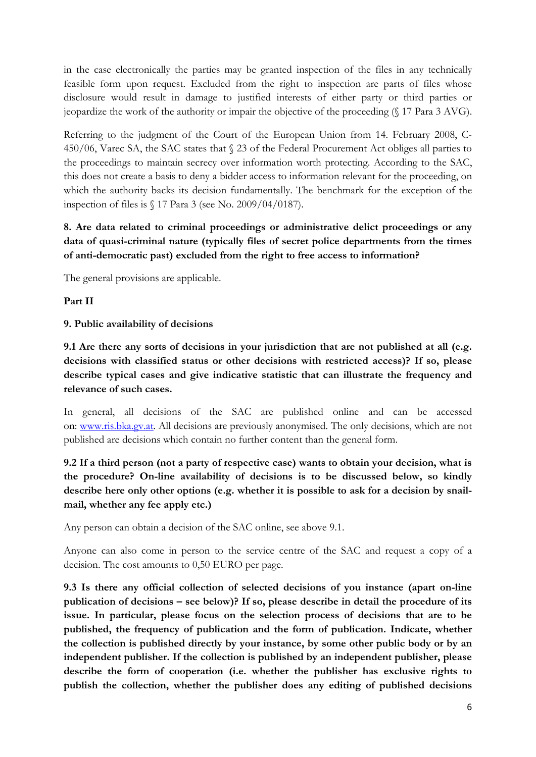in the case electronically the parties may be granted inspection of the files in any technically feasible form upon request. Excluded from the right to inspection are parts of files whose disclosure would result in damage to justified interests of either party or third parties or jeopardize the work of the authority or impair the objective of the proceeding (§ 17 Para 3 AVG).

Referring to the judgment of the Court of the European Union from 14. February 2008, C-450/06, Varec SA, the SAC states that § 23 of the Federal Procurement Act obliges all parties to the proceedings to maintain secrecy over information worth protecting. According to the SAC, this does not create a basis to deny a bidder access to information relevant for the proceeding, on which the authority backs its decision fundamentally. The benchmark for the exception of the inspection of files is § 17 Para 3 (see No. 2009/04/0187).

**8. Are data related to criminal proceedings or administrative delict proceedings or any data of quasi-criminal nature (typically files of secret police departments from the times of anti-democratic past) excluded from the right to free access to information?**

The general provisions are applicable.

#### **Part II**

**9. Public availability of decisions**

**9.1 Are there any sorts of decisions in your jurisdiction that are not published at all (e.g. decisions with classified status or other decisions with restricted access)? If so, please describe typical cases and give indicative statistic that can illustrate the frequency and relevance of such cases.** 

In general, all decisions of the SAC are published online and can be accessed on: [www.ris.bka.gv.at.](http://www.ris.bka.gv.at/) All decisions are previously anonymised. The only decisions, which are not published are decisions which contain no further content than the general form.

## **9.2 If a third person (not a party of respective case) wants to obtain your decision, what is the procedure? On-line availability of decisions is to be discussed below, so kindly describe here only other options (e.g. whether it is possible to ask for a decision by snailmail, whether any fee apply etc.)**

Any person can obtain a decision of the SAC online, see above 9.1.

Anyone can also come in person to the service centre of the SAC and request a copy of a decision. The cost amounts to 0,50 EURO per page.

**9.3 Is there any official collection of selected decisions of you instance (apart on-line publication of decisions – see below)? If so, please describe in detail the procedure of its issue. In particular, please focus on the selection process of decisions that are to be published, the frequency of publication and the form of publication. Indicate, whether the collection is published directly by your instance, by some other public body or by an independent publisher. If the collection is published by an independent publisher, please describe the form of cooperation (i.e. whether the publisher has exclusive rights to publish the collection, whether the publisher does any editing of published decisions**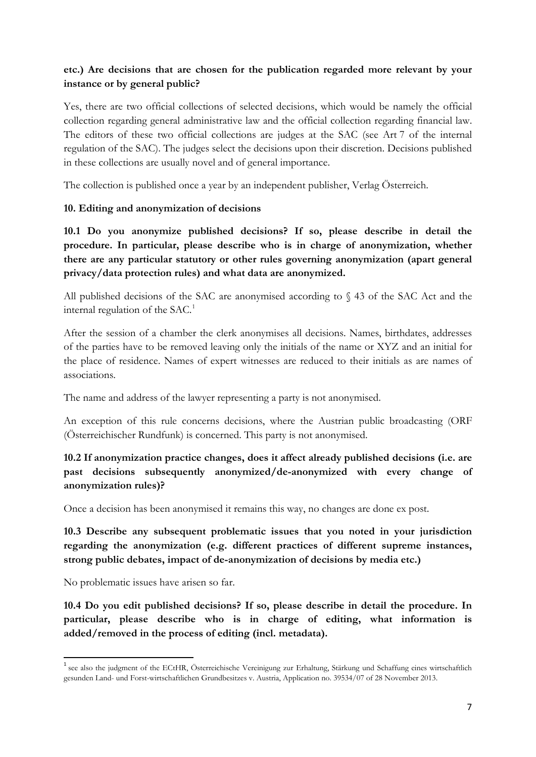#### **etc.) Are decisions that are chosen for the publication regarded more relevant by your instance or by general public?**

Yes, there are two official collections of selected decisions, which would be namely the official collection regarding general administrative law and the official collection regarding financial law. The editors of these two official collections are judges at the SAC (see Art 7 of the internal regulation of the SAC). The judges select the decisions upon their discretion. Decisions published in these collections are usually novel and of general importance.

The collection is published once a year by an independent publisher, Verlag Österreich.

#### **10. Editing and anonymization of decisions**

**10.1 Do you anonymize published decisions? If so, please describe in detail the procedure. In particular, please describe who is in charge of anonymization, whether there are any particular statutory or other rules governing anonymization (apart general privacy/data protection rules) and what data are anonymized.**

All published decisions of the SAC are anonymised according to § 43 of the SAC Act and the internal regulation of the SAC.<sup>[1](#page-7-0)</sup>

After the session of a chamber the clerk anonymises all decisions. Names, birthdates, addresses of the parties have to be removed leaving only the initials of the name or XYZ and an initial for the place of residence. Names of expert witnesses are reduced to their initials as are names of associations.

The name and address of the lawyer representing a party is not anonymised.

An exception of this rule concerns decisions, where the Austrian public broadcasting (ORF (Österreichischer Rundfunk) is concerned. This party is not anonymised.

### **10.2 If anonymization practice changes, does it affect already published decisions (i.e. are past decisions subsequently anonymized/de-anonymized with every change of anonymization rules)?**

Once a decision has been anonymised it remains this way, no changes are done ex post.

**10.3 Describe any subsequent problematic issues that you noted in your jurisdiction regarding the anonymization (e.g. different practices of different supreme instances, strong public debates, impact of de-anonymization of decisions by media etc.)**

No problematic issues have arisen so far.

**10.4 Do you edit published decisions? If so, please describe in detail the procedure. In particular, please describe who is in charge of editing, what information is added/removed in the process of editing (incl. metadata).**

<span id="page-7-0"></span><sup>&</sup>lt;sup>1</sup> see also the judgment of the ECtHR, Österreichische Vereinigung zur Erhaltung, Stärkung und Schaffung eines wirtschaftlich gesunden Land- und Forstwirtschaftlichen Grundbesitzes v. Austria, Application no. 39534/07 of 28 November 2013.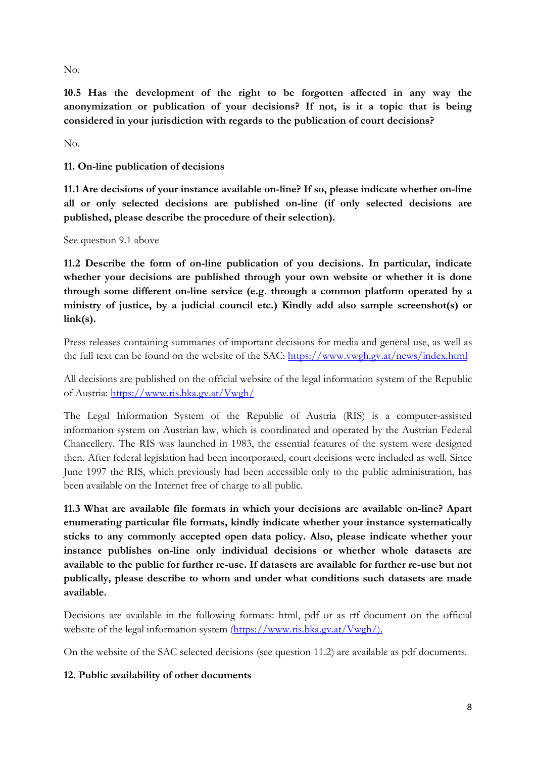No.

**10.5 Has the development of the right to be forgotten affected in any way the anonymization or publication of your decisions? If not, is it a topic that is being considered in your jurisdiction with regards to the publication of court decisions?**

No.

**11. On-line publication of decisions**

**11.1 Are decisions of your instance available on-line? If so, please indicate whether on-line all or only selected decisions are published on-line (if only selected decisions are published, please describe the procedure of their selection).**

See question 9.1 above

**11.2 Describe the form of on-line publication of you decisions. In particular, indicate whether your decisions are published through your own website or whether it is done through some different on-line service (e.g. through a common platform operated by a ministry of justice, by a judicial council etc.) Kindly add also sample screenshot(s) or link(s).**

Press releases containing summaries of important decisions for media and general use, as well as the full text can be found on the website of the SAC:<https://www.vwgh.gv.at/news/index.html>

All decisions are published on the official website of the legal information system of the Republic of Austria:<https://www.ris.bka.gv.at/Vwgh/>

The Legal Information System of the Republic of Austria (RIS) is a computer-assisted information system on Austrian law, which is coordinated and operated by the Austrian Federal Chancellery. The RIS was launched in 1983, the essential features of the system were designed then. After federal legislation had been incorporated, court decisions were included as well. Since June 1997 the RIS, which previously had been accessible only to the public administration, has been available on the Internet free of charge to all public.

**11.3 What are available file formats in which your decisions are available on-line? Apart enumerating particular file formats, kindly indicate whether your instance systematically sticks to any commonly accepted open data policy. Also, please indicate whether your instance publishes on-line only individual decisions or whether whole datasets are available to the public for further re-use. If datasets are available for further re-use but not publically, please describe to whom and under what conditions such datasets are made available.**

Decisions are available in the following formats: html, pdf or as rtf document on the official website of the legal information system [\(https://www.ris.bka.gv.at/Vwgh/\)](https://www.ris.bka.gv.at/Vwgh/).

On the website of the SAC selected decisions (see question 11.2) are available as pdf documents.

#### **12. Public availability of other documents**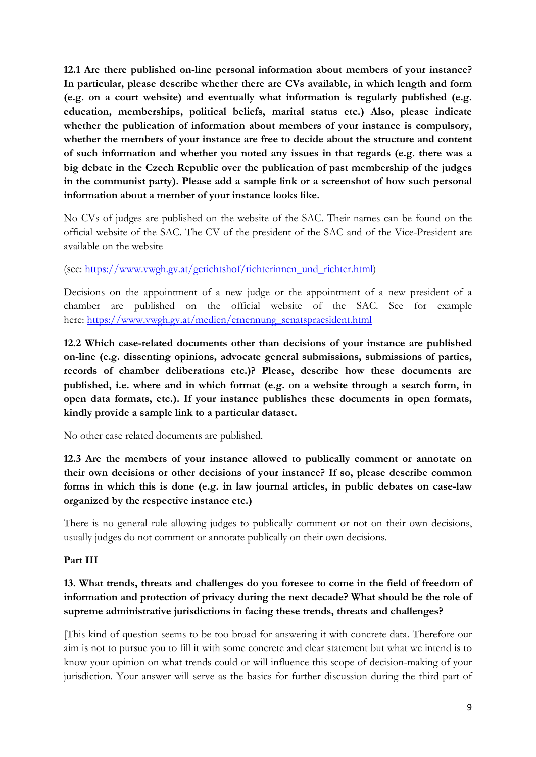**12.1 Are there published on-line personal information about members of your instance? In particular, please describe whether there are CVs available, in which length and form (e.g. on a court website) and eventually what information is regularly published (e.g. education, memberships, political beliefs, marital status etc.) Also, please indicate whether the publication of information about members of your instance is compulsory, whether the members of your instance are free to decide about the structure and content of such information and whether you noted any issues in that regards (e.g. there was a big debate in the Czech Republic over the publication of past membership of the judges in the communist party). Please add a sample link or a screenshot of how such personal information about a member of your instance looks like.**

No CVs of judges are published on the website of the SAC. Their names can be found on the official website of the SAC. The CV of the president of the SAC and of the Vice-President are available on the website

(see: [https://www.vwgh.gv.at/gerichtshof/richterinnen\\_und\\_richter.html\)](https://www.vwgh.gv.at/gerichtshof/richterinnen_und_richter.html)

Decisions on the appointment of a new judge or the appointment of a new president of a chamber are published on the official website of the SAC. See for example here: [https://www.vwgh.gv.at/medien/ernennung\\_senatspraesident.html](https://www.vwgh.gv.at/medien/ernennung_senatspraesident.html)

**12.2 Which case-related documents other than decisions of your instance are published on-line (e.g. dissenting opinions, advocate general submissions, submissions of parties, records of chamber deliberations etc.)? Please, describe how these documents are published, i.e. where and in which format (e.g. on a website through a search form, in open data formats, etc.). If your instance publishes these documents in open formats, kindly provide a sample link to a particular dataset.**

No other case related documents are published.

**12.3 Are the members of your instance allowed to publically comment or annotate on their own decisions or other decisions of your instance? If so, please describe common forms in which this is done (e.g. in law journal articles, in public debates on case-law organized by the respective instance etc.)**

There is no general rule allowing judges to publically comment or not on their own decisions, usually judges do not comment or annotate publically on their own decisions.

#### **Part III**

### **13. What trends, threats and challenges do you foresee to come in the field of freedom of information and protection of privacy during the next decade? What should be the role of supreme administrative jurisdictions in facing these trends, threats and challenges?**

[This kind of question seems to be too broad for answering it with concrete data. Therefore our aim is not to pursue you to fill it with some concrete and clear statement but what we intend is to know your opinion on what trends could or will influence this scope of decision-making of your jurisdiction. Your answer will serve as the basics for further discussion during the third part of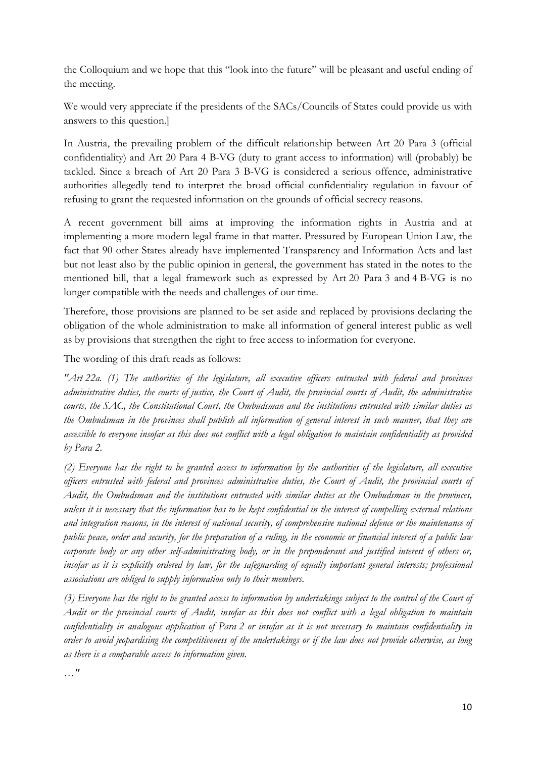the Colloquium and we hope that this "look into the future" will be pleasant and useful ending of the meeting.

We would very appreciate if the presidents of the SACs/Councils of States could provide us with answers to this question.]

In Austria, the prevailing problem of the difficult relationship between Art 20 Para 3 (official confidentiality) and Art 20 Para 4 B-VG (duty to grant access to information) will (probably) be tackled. Since a breach of Art 20 Para 3 B-VG is considered a serious offence, administrative authorities allegedly tend to interpret the broad official confidentiality regulation in favour of refusing to grant the requested information on the grounds of official secrecy reasons.

A recent government bill aims at improving the information rights in Austria and at implementing a more modern legal frame in that matter. Pressured by European Union Law, the fact that 90 other States already have implemented Transparency and Information Acts and last but not least also by the public opinion in general, the government has stated in the notes to the mentioned bill, that a legal framework such as expressed by Art 20 Para 3 and 4 B-VG is no longer compatible with the needs and challenges of our time.

Therefore, those provisions are planned to be set aside and replaced by provisions declaring the obligation of the whole administration to make all information of general interest public as well as by provisions that strengthen the right to free access to information for everyone.

The wording of this draft reads as follows:

*"Art 22a. (1) The authorities of the legislature, all executive officers entrusted with federal and provinces administrative duties, the courts of justice, the Court of Audit, the provincial courts of Audit, the administrative courts, the SAC, the Constitutional Court, the Ombudsman and the institutions entrusted with similar duties as the Ombudsman in the provinces shall publish all information of general interest in such manner, that they are accessible to everyone insofar as this does not conflict with a legal obligation to maintain confidentiality as provided by Para 2.*

*(2) Everyone has the right to be granted access to information by the authorities of the legislature, all executive officers entrusted with federal and provinces administrative duties, the Court of Audit, the provincial courts of Audit, the Ombudsman and the institutions entrusted with similar duties as the Ombudsman in the provinces, unless it is necessary that the information has to be kept confidential in the interest of compelling external relations and integration reasons, in the interest of national security, of comprehensive national defence or the maintenance of public peace, order and security, for the preparation of a ruling, in the economic or financial interest of a public law corporate body or any other self-administrating body, or in the preponderant and justified interest of others or, insofar as it is explicitly ordered by law, for the safeguarding of equally important general interests; professional associations are obliged to supply information only to their members.*

*(3) Everyone has the right to be granted access to information by undertakings subject to the control of the Court of Audit or the provincial courts of Audit, insofar as this does not conflict with a legal obligation to maintain confidentiality in analogous application of Para 2 or insofar as it is not necessary to maintain confidentiality in order to avoid jeopardising the competitiveness of the undertakings or if the law does not provide otherwise, as long as there is a comparable access to information given.*

*…"*